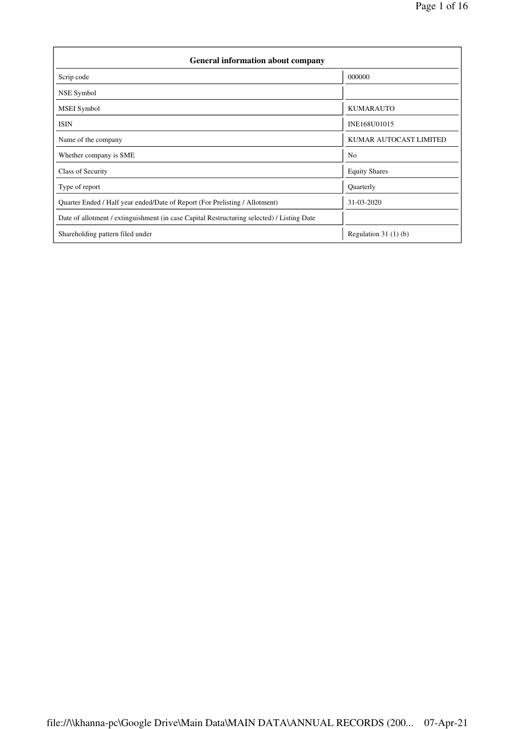| <b>General information about company</b>                                                   |                        |  |  |  |  |  |  |  |
|--------------------------------------------------------------------------------------------|------------------------|--|--|--|--|--|--|--|
| Scrip code                                                                                 | 000000                 |  |  |  |  |  |  |  |
| NSE Symbol                                                                                 |                        |  |  |  |  |  |  |  |
| <b>MSEI</b> Symbol                                                                         | <b>KUMARAUTO</b>       |  |  |  |  |  |  |  |
| <b>ISIN</b>                                                                                | INE168U01015           |  |  |  |  |  |  |  |
| Name of the company                                                                        | KUMAR AUTOCAST LIMITED |  |  |  |  |  |  |  |
| Whether company is SME                                                                     | N <sub>0</sub>         |  |  |  |  |  |  |  |
| Class of Security                                                                          | <b>Equity Shares</b>   |  |  |  |  |  |  |  |
| Type of report                                                                             | Quarterly              |  |  |  |  |  |  |  |
| Quarter Ended / Half year ended/Date of Report (For Prelisting / Allotment)                | 31-03-2020             |  |  |  |  |  |  |  |
| Date of allotment / extinguishment (in case Capital Restructuring selected) / Listing Date |                        |  |  |  |  |  |  |  |
| Shareholding pattern filed under                                                           | Regulation $31(1)(b)$  |  |  |  |  |  |  |  |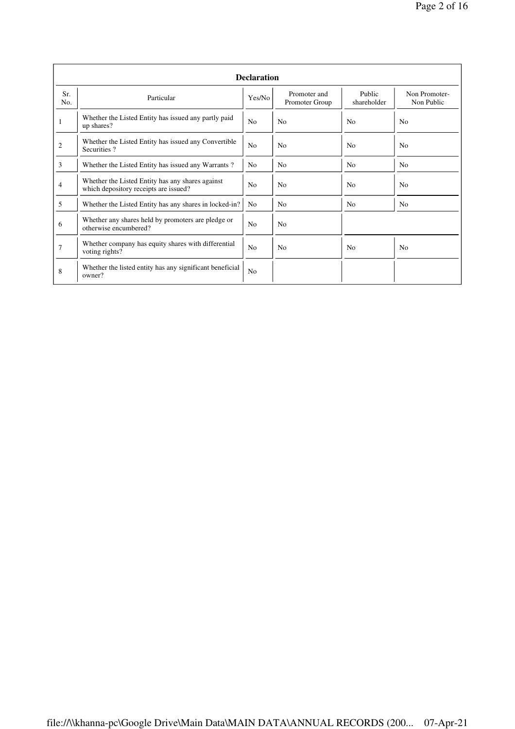|                | <b>Declaration</b>                                                                        |                |                                |                       |                             |  |  |  |  |  |  |
|----------------|-------------------------------------------------------------------------------------------|----------------|--------------------------------|-----------------------|-----------------------------|--|--|--|--|--|--|
| Sr.<br>No.     | Particular                                                                                | Yes/No         | Promoter and<br>Promoter Group | Public<br>shareholder | Non Promoter-<br>Non Public |  |  |  |  |  |  |
| 1              | Whether the Listed Entity has issued any partly paid<br>up shares?                        | N <sub>0</sub> | N <sub>0</sub>                 | N <sub>0</sub>        | N <sub>0</sub>              |  |  |  |  |  |  |
| $\overline{c}$ | Whether the Listed Entity has issued any Convertible<br>Securities?                       | N <sub>0</sub> | N <sub>o</sub>                 | N <sub>0</sub>        | N <sub>0</sub>              |  |  |  |  |  |  |
| 3              | Whether the Listed Entity has issued any Warrants?                                        | N <sub>0</sub> | N <sub>o</sub>                 | N <sub>o</sub>        | N <sub>0</sub>              |  |  |  |  |  |  |
| 4              | Whether the Listed Entity has any shares against<br>which depository receipts are issued? |                | N <sub>0</sub>                 | N <sub>o</sub>        | N <sub>o</sub>              |  |  |  |  |  |  |
| 5              | Whether the Listed Entity has any shares in locked-in?                                    | N <sub>0</sub> | N <sub>0</sub>                 | N <sub>o</sub>        | N <sub>o</sub>              |  |  |  |  |  |  |
| 6              | Whether any shares held by promoters are pledge or<br>otherwise encumbered?               | N <sub>0</sub> | N <sub>o</sub>                 |                       |                             |  |  |  |  |  |  |
| $\overline{7}$ | Whether company has equity shares with differential<br>voting rights?                     | N <sub>o</sub> | N <sub>o</sub>                 | N <sub>0</sub>        | No                          |  |  |  |  |  |  |
| 8              | Whether the listed entity has any significant beneficial<br>owner?                        | N <sub>0</sub> |                                |                       |                             |  |  |  |  |  |  |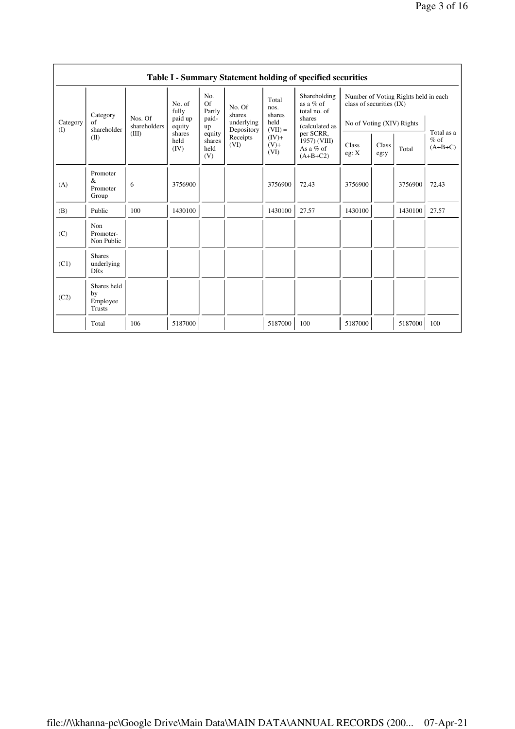|                          | Table I - Summary Statement holding of specified securities |                         |                        |                                 |                                    |                             |                                                        |                           |               |                                      |                                   |  |  |  |
|--------------------------|-------------------------------------------------------------|-------------------------|------------------------|---------------------------------|------------------------------------|-----------------------------|--------------------------------------------------------|---------------------------|---------------|--------------------------------------|-----------------------------------|--|--|--|
|                          |                                                             |                         | No. of<br>fully        | No.<br><b>Of</b><br>Partly      | No. Of                             | Total<br>nos.               | Shareholding<br>as a $%$ of<br>total no. of            | class of securities (IX)  |               | Number of Voting Rights held in each |                                   |  |  |  |
| Category<br>$($ $\Gamma$ | Category<br>of<br>shareholder                               | Nos. Of<br>shareholders | paid up<br>equity      | paid-<br>up                     | shares<br>underlying<br>Depository | shares<br>held<br>$(VII) =$ | shares<br>(calculated as                               | No of Voting (XIV) Rights |               |                                      |                                   |  |  |  |
|                          | (II)                                                        | (III)                   | shares<br>held<br>(IV) | equity<br>shares<br>held<br>(V) | Receipts<br>(VI)                   | $(IV)+$<br>$(V)+$<br>(VI)   | per SCRR,<br>1957) (VIII)<br>As a $%$ of<br>$(A+B+C2)$ | Class<br>eg: X            | Class<br>eg:y | Total                                | Total as a<br>$%$ of<br>$(A+B+C)$ |  |  |  |
| (A)                      | Promoter<br>&<br>Promoter<br>Group                          | 6                       | 3756900                |                                 |                                    | 3756900                     | 72.43                                                  | 3756900                   |               | 3756900                              | 72.43                             |  |  |  |
| (B)                      | Public                                                      | 100                     | 1430100                |                                 |                                    | 1430100                     | 27.57                                                  | 1430100                   |               | 1430100                              | 27.57                             |  |  |  |
| (C)                      | Non<br>Promoter-<br>Non Public                              |                         |                        |                                 |                                    |                             |                                                        |                           |               |                                      |                                   |  |  |  |
| (C1)                     | <b>Shares</b><br>underlying<br><b>DRs</b>                   |                         |                        |                                 |                                    |                             |                                                        |                           |               |                                      |                                   |  |  |  |
| (C2)                     | Shares held<br>by<br>Employee<br>Trusts                     |                         |                        |                                 |                                    |                             |                                                        |                           |               |                                      |                                   |  |  |  |
|                          | Total                                                       | 106                     | 5187000                |                                 |                                    | 5187000                     | 100                                                    | 5187000                   |               | 5187000                              | 100                               |  |  |  |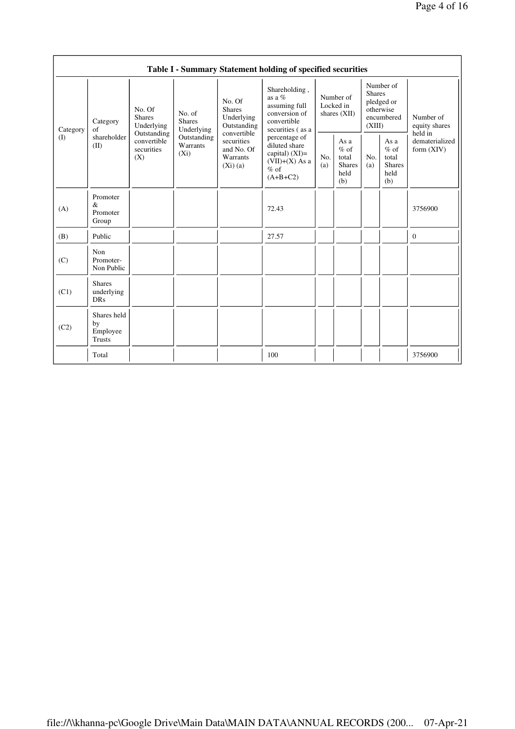|          |                                                                                                                                                                                                                              |                                                                |                                                                                                 | Table I - Summary Statement holding of specified securities                                    |                                                         |            |                                                                               |  |                                                                         |
|----------|------------------------------------------------------------------------------------------------------------------------------------------------------------------------------------------------------------------------------|----------------------------------------------------------------|-------------------------------------------------------------------------------------------------|------------------------------------------------------------------------------------------------|---------------------------------------------------------|------------|-------------------------------------------------------------------------------|--|-------------------------------------------------------------------------|
| Category | No. Of<br>No. of<br><b>Shares</b><br><b>Shares</b><br>Category<br>Underlying<br>Underlying<br>of<br>Outstanding<br>shareholder<br>Outstanding<br>convertible<br>Warrants<br>(II)<br>securities<br>$(X_i)$<br>(X)<br>Promoter |                                                                | No. Of<br><b>Shares</b><br>Underlying<br>Outstanding                                            | Shareholding,<br>as a $%$<br>assuming full<br>conversion of<br>convertible<br>securities (as a | Number of<br>Locked in<br>shares $(XII)$                |            | Number of<br><b>Shares</b><br>pledged or<br>otherwise<br>encumbered<br>(XIII) |  | Number of<br>equity shares<br>held in<br>dematerialized<br>form $(XIV)$ |
| (1)      |                                                                                                                                                                                                                              | convertible<br>securities<br>and No. Of<br>Warrants<br>(Xi)(a) | percentage of<br>diluted share<br>capital) $(XI)$ =<br>$(VII)+(X)$ As a<br>$%$ of<br>$(A+B+C2)$ | No.<br>(a)                                                                                     | As a<br>$%$ of<br>total<br><b>Shares</b><br>held<br>(b) | No.<br>(a) | As a<br>$%$ of<br>total<br>Shares<br>held<br>(b)                              |  |                                                                         |
| (A)      | $\&$<br>Promoter<br>Group                                                                                                                                                                                                    |                                                                |                                                                                                 | 72.43                                                                                          |                                                         |            |                                                                               |  | 3756900                                                                 |
| (B)      | Public                                                                                                                                                                                                                       |                                                                |                                                                                                 | 27.57                                                                                          |                                                         |            |                                                                               |  | $\mathbf{0}$                                                            |
| (C)      | Non<br>Promoter-<br>Non Public                                                                                                                                                                                               |                                                                |                                                                                                 |                                                                                                |                                                         |            |                                                                               |  |                                                                         |
| (C1)     | <b>Shares</b><br>underlying<br><b>DRs</b>                                                                                                                                                                                    |                                                                |                                                                                                 |                                                                                                |                                                         |            |                                                                               |  |                                                                         |
| (C2)     | Shares held<br>by<br>Employee<br>Trusts                                                                                                                                                                                      |                                                                |                                                                                                 |                                                                                                |                                                         |            |                                                                               |  |                                                                         |
|          | Total                                                                                                                                                                                                                        |                                                                |                                                                                                 | 100                                                                                            |                                                         |            |                                                                               |  | 3756900                                                                 |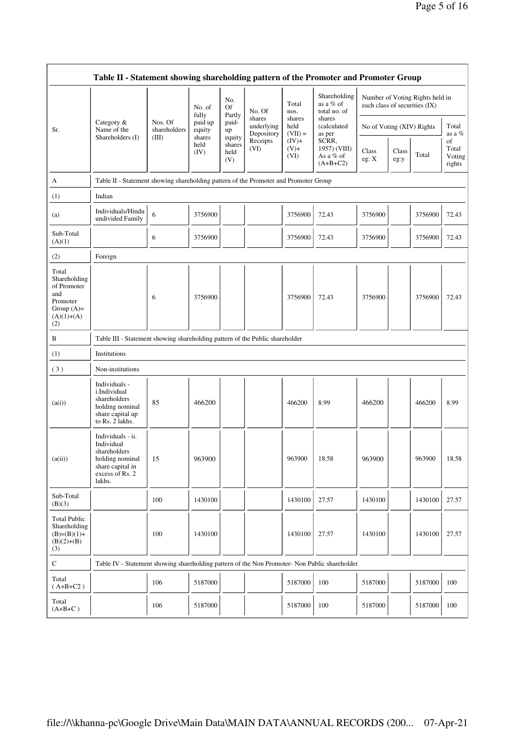|                                                                                                | Table II - Statement showing shareholding pattern of the Promoter and Promoter Group                                |                         |                            |                                 |                                    |                             |                                                  |                           |                                                                  |         |                                 |  |  |
|------------------------------------------------------------------------------------------------|---------------------------------------------------------------------------------------------------------------------|-------------------------|----------------------------|---------------------------------|------------------------------------|-----------------------------|--------------------------------------------------|---------------------------|------------------------------------------------------------------|---------|---------------------------------|--|--|
|                                                                                                |                                                                                                                     |                         | No. of                     | No.<br>Of<br>Partly             | No. Of                             | Total<br>nos.               | Shareholding<br>as a % of<br>total no. of        |                           | Number of Voting Rights held in<br>each class of securities (IX) |         |                                 |  |  |
| Sr.                                                                                            | Category &<br>Name of the                                                                                           | Nos. Of<br>shareholders | fully<br>paid up<br>equity | paid-<br>up                     | shares<br>underlying<br>Depository | shares<br>held<br>$(VII) =$ | shares<br>(calculated<br>as per                  | No of Voting (XIV) Rights |                                                                  |         | Total<br>as a %                 |  |  |
|                                                                                                | Shareholders (I)                                                                                                    | (III)                   | shares<br>held<br>(IV)     | equity<br>shares<br>held<br>(V) | Receipts<br>(VI)                   | $(IV)+$<br>$(V)+$<br>(VI)   | SCRR,<br>1957) (VIII)<br>As a % of<br>$(A+B+C2)$ | Class<br>eg: X            | Class<br>eg:y                                                    | Total   | of<br>Total<br>Voting<br>rights |  |  |
| А                                                                                              | Table II - Statement showing shareholding pattern of the Promoter and Promoter Group                                |                         |                            |                                 |                                    |                             |                                                  |                           |                                                                  |         |                                 |  |  |
| (1)                                                                                            | Indian                                                                                                              |                         |                            |                                 |                                    |                             |                                                  |                           |                                                                  |         |                                 |  |  |
| (a)                                                                                            | Individuals/Hindu<br>undivided Family                                                                               | 6                       | 3756900                    |                                 |                                    | 3756900                     | 72.43                                            | 3756900                   |                                                                  | 3756900 | 72.43                           |  |  |
| Sub-Total<br>(A)(1)                                                                            |                                                                                                                     | 6                       | 3756900                    |                                 |                                    | 3756900                     | 72.43                                            | 3756900                   |                                                                  | 3756900 | 72.43                           |  |  |
| (2)                                                                                            | Foreign                                                                                                             |                         |                            |                                 |                                    |                             |                                                  |                           |                                                                  |         |                                 |  |  |
| Total<br>Shareholding<br>of Promoter<br>and<br>Promoter<br>Group $(A)=$<br>$(A)(1)+(A)$<br>(2) |                                                                                                                     | 6                       | 3756900                    |                                 |                                    | 3756900                     | 72.43                                            | 3756900                   |                                                                  | 3756900 | 72.43                           |  |  |
| B                                                                                              | Table III - Statement showing shareholding pattern of the Public shareholder                                        |                         |                            |                                 |                                    |                             |                                                  |                           |                                                                  |         |                                 |  |  |
| (1)                                                                                            | Institutions                                                                                                        |                         |                            |                                 |                                    |                             |                                                  |                           |                                                                  |         |                                 |  |  |
| (3)                                                                                            | Non-institutions                                                                                                    |                         |                            |                                 |                                    |                             |                                                  |                           |                                                                  |         |                                 |  |  |
| (a(i))                                                                                         | Individuals -<br>i.Individual<br>shareholders<br>holding nominal<br>share capital up<br>to Rs. 2 lakhs.             | 85                      | 466200                     |                                 |                                    | 466200                      | 8.99                                             | 466200                    |                                                                  | 466200  | 8.99                            |  |  |
| (a(ii))                                                                                        | Individuals - ii.<br>Individual<br>shareholders<br>holding nominal<br>share capital in<br>excess of Rs. 2<br>lakhs. | 15                      | 963900                     |                                 |                                    | 963900                      | 18.58                                            | 963900                    |                                                                  | 963900  | 18.58                           |  |  |
| Sub-Total<br>(B)(3)                                                                            |                                                                                                                     | 100                     | 1430100                    |                                 |                                    | 1430100                     | 27.57                                            | 1430100                   |                                                                  | 1430100 | 27.57                           |  |  |
| <b>Total Public</b><br>Shareholding<br>$(B)=(B)(1)+$<br>$(B)(2)+(B)$<br>(3)                    |                                                                                                                     | 100                     | 1430100                    |                                 |                                    | 1430100                     | 27.57                                            | 1430100                   |                                                                  | 1430100 | 27.57                           |  |  |
| $\mathbf C$                                                                                    | Table IV - Statement showing shareholding pattern of the Non Promoter- Non Public shareholder                       |                         |                            |                                 |                                    |                             |                                                  |                           |                                                                  |         |                                 |  |  |
| Total<br>$(A+B+C2)$                                                                            |                                                                                                                     | 106                     | 5187000                    |                                 |                                    | 5187000                     | 100                                              | 5187000                   |                                                                  | 5187000 | 100                             |  |  |
| Total<br>$(A+B+C)$                                                                             |                                                                                                                     | 106                     | 5187000                    |                                 |                                    | 5187000                     | 100                                              | 5187000                   |                                                                  | 5187000 | 100                             |  |  |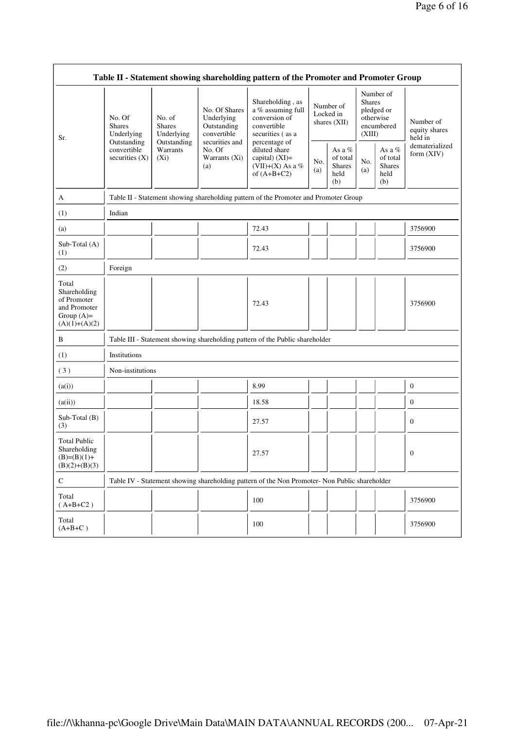| Table II - Statement showing shareholding pattern of the Promoter and Promoter Group    |                                                                                         |                                                      |                                                           |                                                                                                                                                                                    |                                          |                                                    |                                                                               |                                                       |                                       |  |  |
|-----------------------------------------------------------------------------------------|-----------------------------------------------------------------------------------------|------------------------------------------------------|-----------------------------------------------------------|------------------------------------------------------------------------------------------------------------------------------------------------------------------------------------|------------------------------------------|----------------------------------------------------|-------------------------------------------------------------------------------|-------------------------------------------------------|---------------------------------------|--|--|
| Sr.                                                                                     | No. Of<br><b>Shares</b><br>Underlying<br>Outstanding<br>convertible<br>securities $(X)$ | No. of<br><b>Shares</b><br>Underlying<br>Outstanding | No. Of Shares<br>Underlying<br>Outstanding<br>convertible | Shareholding, as<br>a % assuming full<br>conversion of<br>convertible<br>securities (as a<br>percentage of<br>diluted share<br>capital) (XI)=<br>(VII)+(X) As a %<br>of $(A+B+C2)$ | Number of<br>Locked in<br>shares $(XII)$ |                                                    | Number of<br><b>Shares</b><br>pledged or<br>otherwise<br>encumbered<br>(XIII) |                                                       | Number of<br>equity shares<br>held in |  |  |
|                                                                                         |                                                                                         | Warrants<br>$(X_i)$<br>(a)                           | securities and<br>No. Of<br>Warrants (Xi)                 |                                                                                                                                                                                    | No.<br>(a)                               | As a %<br>of total<br><b>Shares</b><br>held<br>(b) | No.<br>(a)                                                                    | As a $\%$<br>of total<br><b>Shares</b><br>held<br>(b) | dematerialized<br>form (XIV)          |  |  |
| A                                                                                       |                                                                                         |                                                      |                                                           | Table II - Statement showing shareholding pattern of the Promoter and Promoter Group                                                                                               |                                          |                                                    |                                                                               |                                                       |                                       |  |  |
| (1)                                                                                     | Indian                                                                                  |                                                      |                                                           |                                                                                                                                                                                    |                                          |                                                    |                                                                               |                                                       |                                       |  |  |
| (a)                                                                                     |                                                                                         |                                                      |                                                           | 72.43                                                                                                                                                                              |                                          |                                                    |                                                                               |                                                       | 3756900                               |  |  |
| Sub-Total (A)<br>(1)                                                                    |                                                                                         |                                                      |                                                           | 72.43                                                                                                                                                                              |                                          |                                                    |                                                                               |                                                       | 3756900                               |  |  |
| (2)                                                                                     | Foreign                                                                                 |                                                      |                                                           |                                                                                                                                                                                    |                                          |                                                    |                                                                               |                                                       |                                       |  |  |
| Total<br>Shareholding<br>of Promoter<br>and Promoter<br>Group $(A)=$<br>$(A)(1)+(A)(2)$ |                                                                                         |                                                      |                                                           | 72.43                                                                                                                                                                              |                                          |                                                    |                                                                               |                                                       | 3756900                               |  |  |
| B                                                                                       |                                                                                         |                                                      |                                                           | Table III - Statement showing shareholding pattern of the Public shareholder                                                                                                       |                                          |                                                    |                                                                               |                                                       |                                       |  |  |
| (1)                                                                                     | Institutions                                                                            |                                                      |                                                           |                                                                                                                                                                                    |                                          |                                                    |                                                                               |                                                       |                                       |  |  |
| (3)                                                                                     | Non-institutions                                                                        |                                                      |                                                           |                                                                                                                                                                                    |                                          |                                                    |                                                                               |                                                       |                                       |  |  |
| (a(i))                                                                                  |                                                                                         |                                                      |                                                           | 8.99                                                                                                                                                                               |                                          |                                                    |                                                                               |                                                       | $\theta$                              |  |  |
| (a(ii))                                                                                 |                                                                                         |                                                      |                                                           | 18.58                                                                                                                                                                              |                                          |                                                    |                                                                               |                                                       | $\mathbf{0}$                          |  |  |
| $Sub-Total(B)$<br>(3)                                                                   |                                                                                         |                                                      |                                                           | 27.57                                                                                                                                                                              |                                          |                                                    |                                                                               |                                                       | $\mathbf{0}$                          |  |  |
| <b>Total Public</b><br>Shareholding<br>$(B)=(B)(1)+$<br>$(B)(2)+(B)(3)$                 |                                                                                         |                                                      |                                                           | 27.57                                                                                                                                                                              |                                          |                                                    |                                                                               |                                                       | $\Omega$                              |  |  |
| $\mathbf C$                                                                             |                                                                                         |                                                      |                                                           | Table IV - Statement showing shareholding pattern of the Non Promoter- Non Public shareholder                                                                                      |                                          |                                                    |                                                                               |                                                       |                                       |  |  |
| Total<br>$(A+B+C2)$                                                                     |                                                                                         |                                                      |                                                           | 100                                                                                                                                                                                |                                          |                                                    |                                                                               |                                                       | 3756900                               |  |  |
| Total<br>$(A+B+C)$                                                                      |                                                                                         |                                                      |                                                           | 100                                                                                                                                                                                |                                          |                                                    |                                                                               |                                                       | 3756900                               |  |  |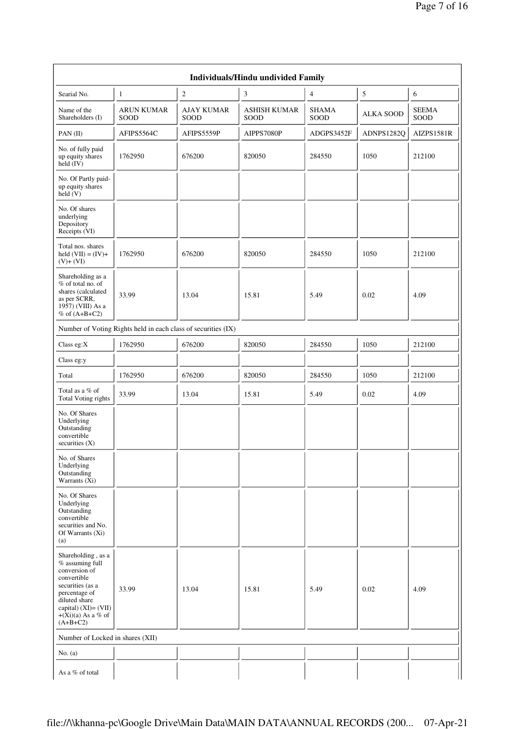|                                                                                                                                                                                              | <b>Individuals/Hindu undivided Family</b> |                           |                             |                      |                  |                      |  |  |  |  |  |  |  |
|----------------------------------------------------------------------------------------------------------------------------------------------------------------------------------------------|-------------------------------------------|---------------------------|-----------------------------|----------------------|------------------|----------------------|--|--|--|--|--|--|--|
| Searial No.                                                                                                                                                                                  | $\mathbf{1}$                              | $\sqrt{2}$                | 3                           | $\overline{4}$       | $\mathfrak s$    | 6                    |  |  |  |  |  |  |  |
| Name of the<br>Shareholders (I)                                                                                                                                                              | <b>ARUN KUMAR</b><br>SOOD                 | <b>AJAY KUMAR</b><br>SOOD | <b>ASHISH KUMAR</b><br>SOOD | <b>SHAMA</b><br>SOOD | <b>ALKA SOOD</b> | <b>SEEMA</b><br>SOOD |  |  |  |  |  |  |  |
| PAN (II)                                                                                                                                                                                     | AFIPS5564C                                | AFIPS5559P                | AIPPS7080P                  | ADGPS3452F           | ADNPS1282Q       | AIZPS1581R           |  |  |  |  |  |  |  |
| No. of fully paid<br>up equity shares<br>held (IV)                                                                                                                                           | 1762950                                   | 676200                    | 820050                      | 284550               | 1050             | 212100               |  |  |  |  |  |  |  |
| No. Of Partly paid-<br>up equity shares<br>held (V)                                                                                                                                          |                                           |                           |                             |                      |                  |                      |  |  |  |  |  |  |  |
| No. Of shares<br>underlying<br>Depository<br>Receipts (VI)                                                                                                                                   |                                           |                           |                             |                      |                  |                      |  |  |  |  |  |  |  |
| Total nos. shares<br>held $(VII) = (IV) +$<br>$(V)+(VI)$                                                                                                                                     | 1762950                                   | 676200                    | 820050                      | 284550               | 1050             | 212100               |  |  |  |  |  |  |  |
| Shareholding as a<br>% of total no. of<br>shares (calculated<br>as per SCRR,<br>1957) (VIII) As a<br>$%$ of $(A+B+C2)$                                                                       | 33.99                                     | 13.04                     | 15.81                       | 5.49                 | 0.02             | 4.09                 |  |  |  |  |  |  |  |
| Number of Voting Rights held in each class of securities (IX)                                                                                                                                |                                           |                           |                             |                      |                  |                      |  |  |  |  |  |  |  |
| Class eg: $X$                                                                                                                                                                                | 1762950                                   | 676200                    | 820050                      | 284550               | 1050             | 212100               |  |  |  |  |  |  |  |
| Class eg:y                                                                                                                                                                                   |                                           |                           |                             |                      |                  |                      |  |  |  |  |  |  |  |
| Total                                                                                                                                                                                        | 1762950                                   | 676200                    | 820050                      | 284550               | 1050             | 212100               |  |  |  |  |  |  |  |
| Total as a % of<br>Total Voting rights                                                                                                                                                       | 33.99                                     | 13.04                     | 15.81                       | 5.49                 | 0.02             | 4.09                 |  |  |  |  |  |  |  |
| No. Of Shares<br>Underlying<br>Outstanding<br>convertible<br>securities $(X)$                                                                                                                |                                           |                           |                             |                      |                  |                      |  |  |  |  |  |  |  |
| No. of Shares<br>Underlying<br>Outstanding<br>Warrants (Xi)                                                                                                                                  |                                           |                           |                             |                      |                  |                      |  |  |  |  |  |  |  |
| No. Of Shares<br>Underlying<br>Outstanding<br>convertible<br>securities and No.<br>Of Warrants (Xi)<br>(a)                                                                                   |                                           |                           |                             |                      |                  |                      |  |  |  |  |  |  |  |
| Shareholding, as a<br>% assuming full<br>conversion of<br>convertible<br>securities (as a<br>percentage of<br>diluted share<br>capital) $(XI) = (VII)$<br>$+(Xi)(a)$ As a % of<br>$(A+B+C2)$ | 33.99                                     | 13.04                     | 15.81                       | 5.49                 | 0.02             | 4.09                 |  |  |  |  |  |  |  |
| Number of Locked in shares (XII)                                                                                                                                                             |                                           |                           |                             |                      |                  |                      |  |  |  |  |  |  |  |
| No. $(a)$                                                                                                                                                                                    |                                           |                           |                             |                      |                  |                      |  |  |  |  |  |  |  |
| As a % of total                                                                                                                                                                              |                                           |                           |                             |                      |                  |                      |  |  |  |  |  |  |  |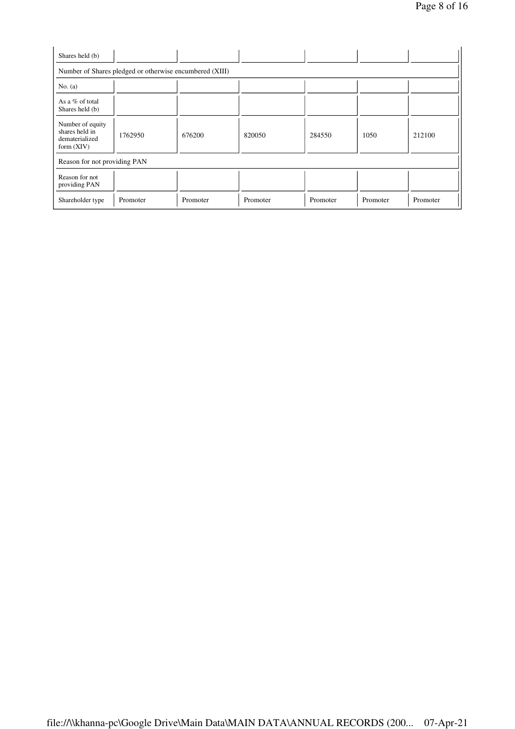| Shares held (b)                                                      |                                                         |          |          |          |          |          |
|----------------------------------------------------------------------|---------------------------------------------------------|----------|----------|----------|----------|----------|
|                                                                      | Number of Shares pledged or otherwise encumbered (XIII) |          |          |          |          |          |
| No. $(a)$                                                            |                                                         |          |          |          |          |          |
| As a % of total<br>Shares held (b)                                   |                                                         |          |          |          |          |          |
| Number of equity<br>shares held in<br>dematerialized<br>form $(XIV)$ | 1762950                                                 | 676200   | 820050   | 284550   | 1050     | 212100   |
| Reason for not providing PAN                                         |                                                         |          |          |          |          |          |
| Reason for not<br>providing PAN                                      |                                                         |          |          |          |          |          |
| Shareholder type                                                     | Promoter                                                | Promoter | Promoter | Promoter | Promoter | Promoter |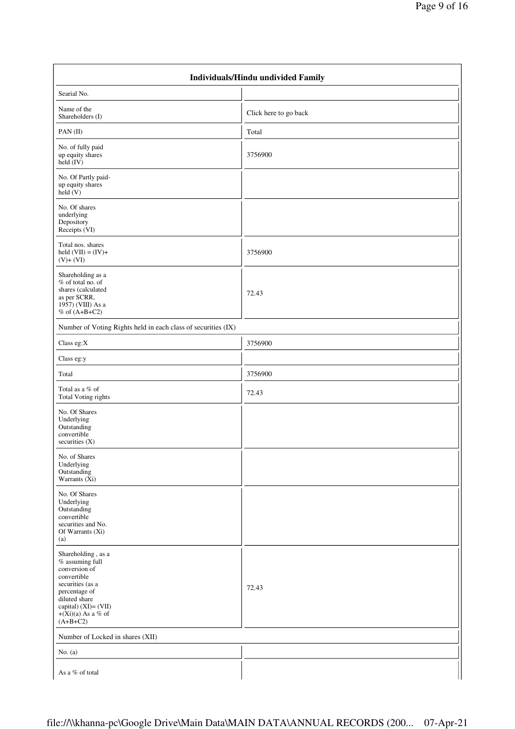|                                                                                                                                                                                                   | Individuals/Hindu undivided Family |  |  |  |  |  |  |  |  |
|---------------------------------------------------------------------------------------------------------------------------------------------------------------------------------------------------|------------------------------------|--|--|--|--|--|--|--|--|
| Searial No.                                                                                                                                                                                       |                                    |  |  |  |  |  |  |  |  |
| Name of the<br>Shareholders (I)                                                                                                                                                                   | Click here to go back              |  |  |  |  |  |  |  |  |
| PAN(II)                                                                                                                                                                                           | Total                              |  |  |  |  |  |  |  |  |
| No. of fully paid<br>up equity shares<br>held $(IV)$                                                                                                                                              | 3756900                            |  |  |  |  |  |  |  |  |
| No. Of Partly paid-<br>up equity shares<br>held $(V)$                                                                                                                                             |                                    |  |  |  |  |  |  |  |  |
| No. Of shares<br>underlying<br>Depository<br>Receipts (VI)                                                                                                                                        |                                    |  |  |  |  |  |  |  |  |
| Total nos. shares<br>held $(VII) = (IV) +$<br>$(V)+(VI)$                                                                                                                                          | 3756900                            |  |  |  |  |  |  |  |  |
| Shareholding as a<br>% of total no. of<br>shares (calculated<br>as per SCRR,<br>1957) (VIII) As a<br>$%$ of $(A+B+C2)$                                                                            | 72.43                              |  |  |  |  |  |  |  |  |
| Number of Voting Rights held in each class of securities (IX)                                                                                                                                     |                                    |  |  |  |  |  |  |  |  |
| Class eg:X                                                                                                                                                                                        | 3756900                            |  |  |  |  |  |  |  |  |
| Class eg:y                                                                                                                                                                                        |                                    |  |  |  |  |  |  |  |  |
| Total                                                                                                                                                                                             | 3756900                            |  |  |  |  |  |  |  |  |
| Total as a % of<br><b>Total Voting rights</b>                                                                                                                                                     | 72.43                              |  |  |  |  |  |  |  |  |
| No. Of Shares<br>Underlying<br>Outstanding<br>convertible<br>securities $(X)$                                                                                                                     |                                    |  |  |  |  |  |  |  |  |
| No. of Shares<br>Underlying<br>Outstanding<br>Warrants (Xi)                                                                                                                                       |                                    |  |  |  |  |  |  |  |  |
| No. Of Shares<br>Underlying<br>Outstanding<br>convertible<br>securities and No.<br>Of Warrants (Xi)<br>(a)                                                                                        |                                    |  |  |  |  |  |  |  |  |
| Shareholding, as a<br>% assuming full<br>conversion of<br>convertible<br>securities (as a<br>percentage of<br>diluted share<br>capital) (XI)= (VII)<br>$+(\tilde{X}i)(a)$ As a % of<br>$(A+B+C2)$ | 72.43                              |  |  |  |  |  |  |  |  |
| Number of Locked in shares (XII)                                                                                                                                                                  |                                    |  |  |  |  |  |  |  |  |
| No. $(a)$                                                                                                                                                                                         |                                    |  |  |  |  |  |  |  |  |
| As a % of total                                                                                                                                                                                   |                                    |  |  |  |  |  |  |  |  |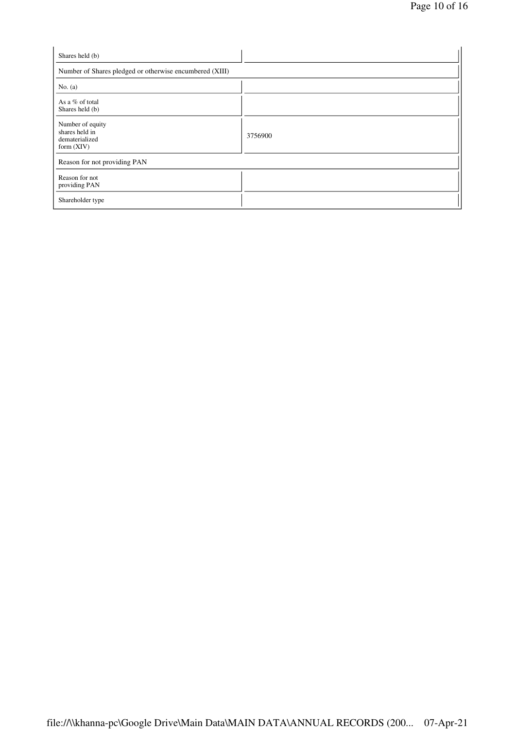| Shares held (b)                                                      |         |
|----------------------------------------------------------------------|---------|
| Number of Shares pledged or otherwise encumbered (XIII)              |         |
| No. $(a)$                                                            |         |
| As a % of total<br>Shares held (b)                                   |         |
| Number of equity<br>shares held in<br>dematerialized<br>form $(XIV)$ | 3756900 |
| Reason for not providing PAN                                         |         |
| Reason for not<br>providing PAN                                      |         |
| Shareholder type                                                     |         |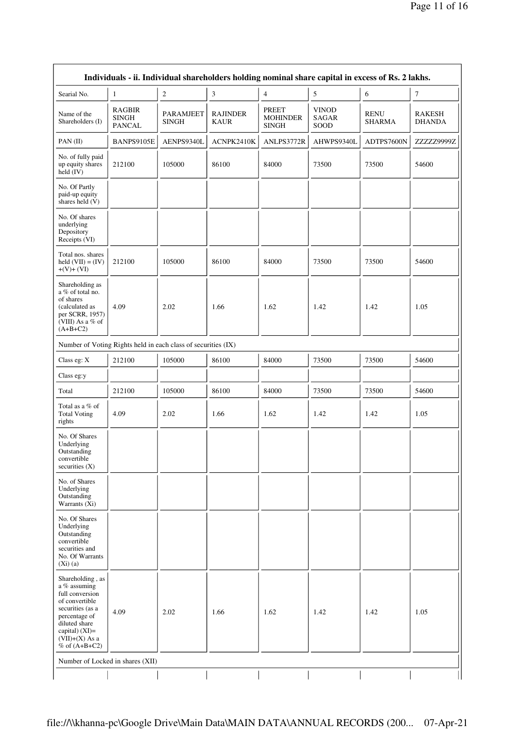|                                                                                                                                                                                        |                                                |                                  |                         |                                                 | Individuals - ii. Individual shareholders holding nominal share capital in excess of Rs. 2 lakhs. |                              |                                |  |  |  |  |
|----------------------------------------------------------------------------------------------------------------------------------------------------------------------------------------|------------------------------------------------|----------------------------------|-------------------------|-------------------------------------------------|---------------------------------------------------------------------------------------------------|------------------------------|--------------------------------|--|--|--|--|
| Searial No.                                                                                                                                                                            | 1                                              | $\overline{c}$                   | 3                       | $\overline{4}$                                  | $\mathfrak{S}$                                                                                    | 6                            | $\boldsymbol{7}$               |  |  |  |  |
| Name of the<br>Shareholders (I)                                                                                                                                                        | <b>RAGBIR</b><br><b>SINGH</b><br><b>PANCAL</b> | <b>PARAMJEET</b><br><b>SINGH</b> | <b>RAJINDER</b><br>KAUR | <b>PREET</b><br><b>MOHINDER</b><br><b>SINGH</b> | <b>VINOD</b><br>SAGAR<br>SOOD                                                                     | <b>RENU</b><br><b>SHARMA</b> | <b>RAKESH</b><br><b>DHANDA</b> |  |  |  |  |
| PAN(II)                                                                                                                                                                                | BANPS9105E                                     | AENPS9340L                       | ACNPK2410K              | ANLPS3772R                                      | AHWPS9340L                                                                                        | ADTPS7600N                   | ZZZZZ9999Z                     |  |  |  |  |
| No. of fully paid<br>up equity shares<br>held (IV)                                                                                                                                     | 212100                                         | 105000                           | 86100                   | 84000                                           | 73500                                                                                             | 73500                        | 54600                          |  |  |  |  |
| No. Of Partly<br>paid-up equity<br>shares held (V)                                                                                                                                     |                                                |                                  |                         |                                                 |                                                                                                   |                              |                                |  |  |  |  |
| No. Of shares<br>underlying<br>Depository<br>Receipts (VI)                                                                                                                             |                                                |                                  |                         |                                                 |                                                                                                   |                              |                                |  |  |  |  |
| Total nos. shares<br>held $(VII) = (IV)$<br>$+(V)+(VI)$                                                                                                                                | 212100                                         | 105000                           | 86100                   | 84000                                           | 73500                                                                                             | 73500                        | 54600                          |  |  |  |  |
| Shareholding as<br>a % of total no.<br>of shares<br>(calculated as<br>per SCRR, 1957)<br>(VIII) As a % of<br>$(A+B+C2)$                                                                | 4.09                                           | 2.02                             | 1.66                    | 1.62                                            | 1.42                                                                                              | 1.42                         | 1.05                           |  |  |  |  |
| Number of Voting Rights held in each class of securities (IX)                                                                                                                          |                                                |                                  |                         |                                                 |                                                                                                   |                              |                                |  |  |  |  |
| Class eg: X                                                                                                                                                                            | 212100                                         | 105000                           | 86100                   | 84000                                           | 73500                                                                                             | 73500                        | 54600                          |  |  |  |  |
| Class eg:y                                                                                                                                                                             |                                                |                                  |                         |                                                 |                                                                                                   |                              |                                |  |  |  |  |
| Total                                                                                                                                                                                  | 212100                                         | 105000                           | 86100                   | 84000                                           | 73500                                                                                             | 73500                        | 54600                          |  |  |  |  |
| Total as a $\%$ of<br><b>Total Voting</b><br>rights                                                                                                                                    | 4.09                                           | 2.02                             | 1.66                    | 1.62                                            | 1.42                                                                                              | 1.42                         | 1.05                           |  |  |  |  |
| No. Of Shares<br>Underlying<br>Outstanding<br>convertible<br>securities $(X)$                                                                                                          |                                                |                                  |                         |                                                 |                                                                                                   |                              |                                |  |  |  |  |
| No. of Shares<br>Underlying<br>Outstanding<br>Warrants (Xi)                                                                                                                            |                                                |                                  |                         |                                                 |                                                                                                   |                              |                                |  |  |  |  |
| No. Of Shares<br>Underlying<br>Outstanding<br>convertible<br>securities and<br>No. Of Warrants<br>(Xi)(a)                                                                              |                                                |                                  |                         |                                                 |                                                                                                   |                              |                                |  |  |  |  |
| Shareholding, as<br>a % assuming<br>full conversion<br>of convertible<br>securities (as a<br>percentage of<br>diluted share<br>capital) $(XI)=$<br>$(VII)+(X)$ As a<br>% of $(A+B+C2)$ | 4.09                                           | 2.02                             | 1.66                    | 1.62                                            | 1.42                                                                                              | 1.42                         | 1.05                           |  |  |  |  |
| Number of Locked in shares (XII)                                                                                                                                                       |                                                |                                  |                         |                                                 |                                                                                                   |                              |                                |  |  |  |  |
|                                                                                                                                                                                        |                                                |                                  |                         |                                                 |                                                                                                   |                              |                                |  |  |  |  |

 $\Gamma$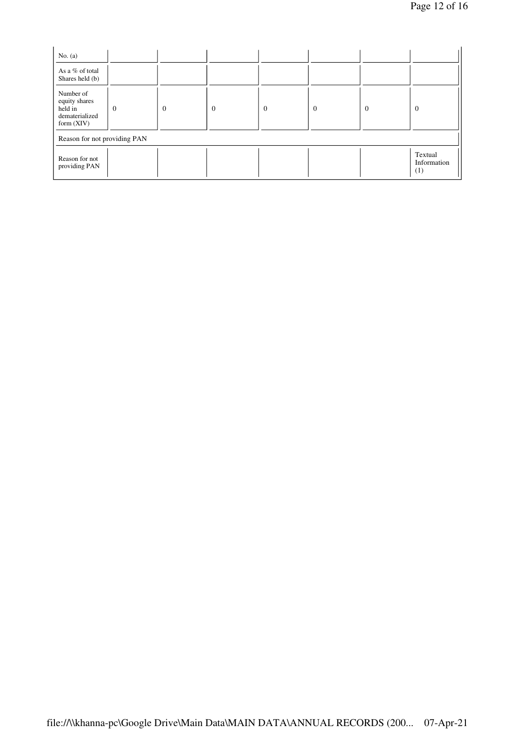| No. $(a)$                                                               |          |                |                |                |              |          |                               |
|-------------------------------------------------------------------------|----------|----------------|----------------|----------------|--------------|----------|-------------------------------|
| As a % of total<br>Shares held (b)                                      |          |                |                |                |              |          |                               |
| Number of<br>equity shares<br>held in<br>dematerialized<br>form $(XIV)$ | $\Omega$ | $\overline{0}$ | $\overline{0}$ | $\overline{0}$ | $\mathbf{0}$ | $\Omega$ | $\overline{0}$                |
| Reason for not providing PAN                                            |          |                |                |                |              |          |                               |
| Reason for not<br>providing PAN                                         |          |                |                |                |              |          | Textual<br>Information<br>(1) |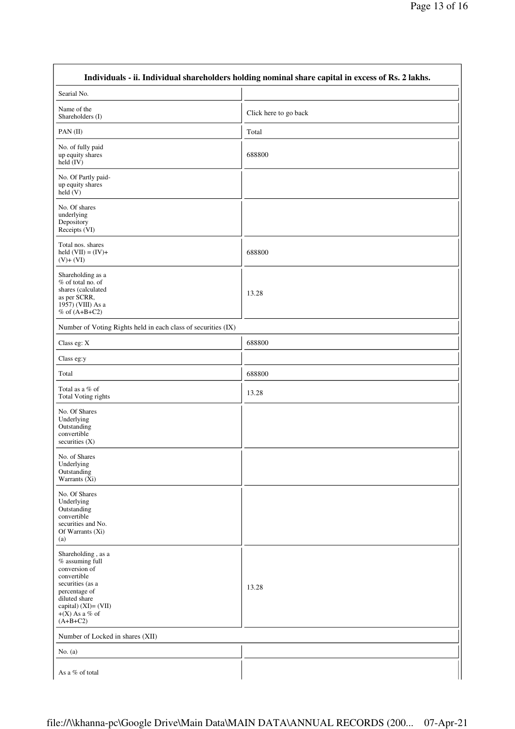| Individuals - ii. Individual shareholders holding nominal share capital in excess of Rs. 2 lakhs.                                                                                        |                       |
|------------------------------------------------------------------------------------------------------------------------------------------------------------------------------------------|-----------------------|
| Searial No.                                                                                                                                                                              |                       |
| Name of the<br>Shareholders (I)                                                                                                                                                          | Click here to go back |
| PAN(II)                                                                                                                                                                                  | Total                 |
| No. of fully paid<br>up equity shares<br>held (IV)                                                                                                                                       | 688800                |
| No. Of Partly paid-<br>up equity shares<br>$\text{held}(V)$                                                                                                                              |                       |
| No. Of shares<br>underlying<br>Depository<br>Receipts (VI)                                                                                                                               |                       |
| Total nos. shares<br>held $(VII) = (IV) +$<br>$(V)+(VI)$                                                                                                                                 | 688800                |
| Shareholding as a<br>% of total no. of<br>shares (calculated<br>as per SCRR,<br>1957) (VIII) As a<br>$%$ of $(A+B+C2)$                                                                   | 13.28                 |
| Number of Voting Rights held in each class of securities (IX)                                                                                                                            |                       |
| Class eg: X                                                                                                                                                                              | 688800                |
| Class eg:y                                                                                                                                                                               |                       |
| Total                                                                                                                                                                                    | 688800                |
| Total as a % of<br>Total Voting rights                                                                                                                                                   | 13.28                 |
| No. Of Shares<br>Underlying<br>Outstanding<br>convertible<br>securities $(X)$                                                                                                            |                       |
| No. of Shares<br>Underlying<br>Outstanding<br>Warrants $(X_i)$                                                                                                                           |                       |
| No. Of Shares<br>Underlying<br>Outstanding<br>convertible<br>securities and No.<br>Of Warrants (Xi)<br>(a)                                                                               |                       |
| Shareholding, as a<br>% assuming full<br>conversion of<br>convertible<br>securities (as a<br>percentage of<br>diluted share<br>capital) $(XI) = (VII)$<br>$+(X)$ As a % of<br>$(A+B+C2)$ | 13.28                 |
| Number of Locked in shares (XII)                                                                                                                                                         |                       |
| No. $(a)$                                                                                                                                                                                |                       |
| As a % of total                                                                                                                                                                          |                       |

 $\Gamma$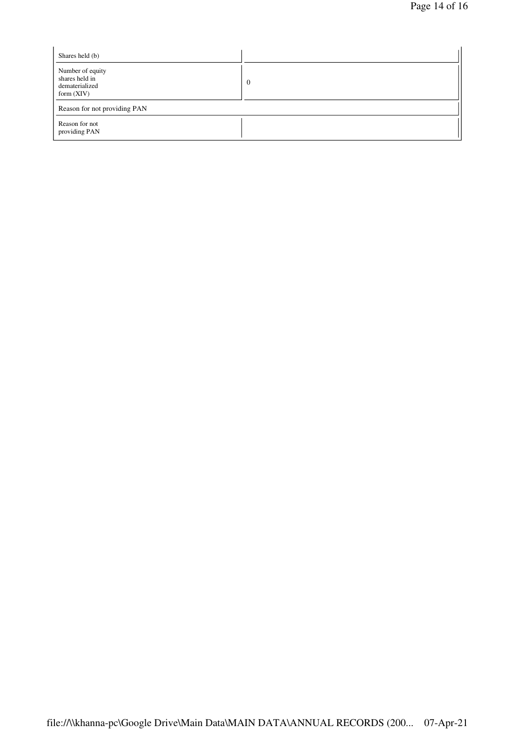| Shares held (b)                                                      |          |
|----------------------------------------------------------------------|----------|
| Number of equity<br>shares held in<br>dematerialized<br>form $(XIV)$ | $\Omega$ |
| Reason for not providing PAN                                         |          |
| Reason for not<br>providing PAN                                      |          |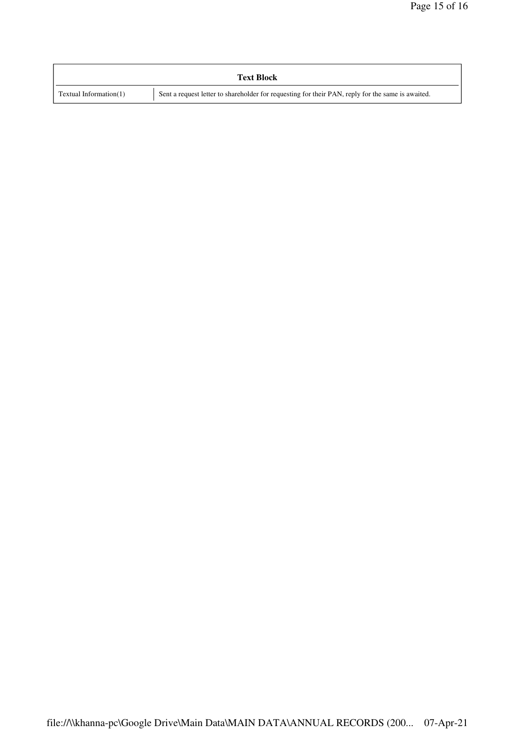| <b>Text Block</b>      |                                                                                                   |
|------------------------|---------------------------------------------------------------------------------------------------|
| Textual Information(1) | Sent a request letter to shareholder for requesting for their PAN, reply for the same is awaited. |